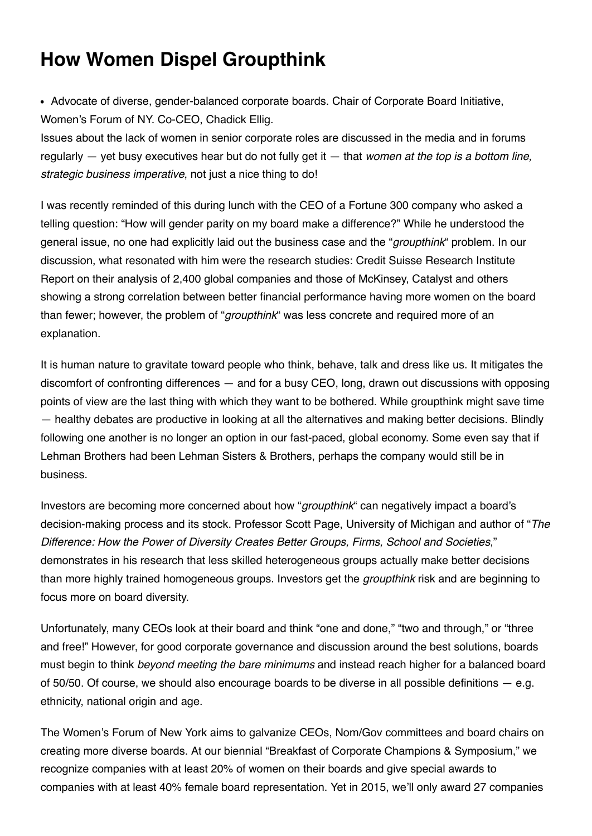## **How Women Dispel Groupthink**

• Advocate of diverse, gender-balanced corporate boards. Chair of Corporate Board Initiative, Women's Forum of NY. Co-CEO, Chadick Ellig.

Issues about the lack of women in senior corporate roles are discussed in the media and in forums regularly — yet busy executives hear but do not fully get it — that *women at the top is a bottom line, strategic business imperative*, not just a nice thing to do!

I was recently reminded of this during lunch with the CEO of a Fortune 300 company who asked a telling question: "How will gender parity on my board make a difference?" While he understood the general issue, no one had explicitly laid out the business case and the "*groupthink*" problem. In our discussion, what resonated with him were the research studies: Credit Suisse Research Institute Report on their analysis of 2,400 global companies and those of McKinsey, Catalyst and others showing a strong correlation between better financial performance having more women on the board than fewer; however, the problem of "*groupthink*" was less concrete and required more of an explanation.

It is human nature to gravitate toward people who think, behave, talk and dress like us. It mitigates the discomfort of confronting differences — and for a busy CEO, long, drawn out discussions with opposing points of view are the last thing with which they want to be bothered. While groupthink might save time — healthy debates are productive in looking at all the alternatives and making better decisions. Blindly following one another is no longer an option in our fast-paced, global economy. Some even say that if Lehman Brothers had been Lehman Sisters & Brothers, perhaps the company would still be in business.

Investors are becoming more concerned about how "*groupthink*" can negatively impact a board's decision-making process and its stock. Professor Scott Page, University of Michigan and author of "*The Difference: How the Power of Diversity Creates Better Groups, Firms, School and Societies*," demonstrates in his research that less skilled heterogeneous groups actually make better decisions than more highly trained homogeneous groups. Investors get the *groupthink* risk and are beginning to focus more on board diversity.

Unfortunately, many CEOs look at their board and think "one and done," "two and through," or "three and free!" However, for good corporate governance and discussion around the best solutions, boards must begin to think *beyond meeting the bare minimums* and instead reach higher for a balanced board of 50/50. Of course, we should also encourage boards to be diverse in all possible definitions — e.g. ethnicity, national origin and age.

The Women's Forum of New York aims to galvanize CEOs, Nom/Gov committees and board chairs on creating more diverse boards. At our biennial "Breakfast of Corporate Champions & Symposium," we recognize companies with at least 20% of women on their boards and give special awards to companies with at least 40% female board representation. Yet in 2015, we'll only award 27 companies